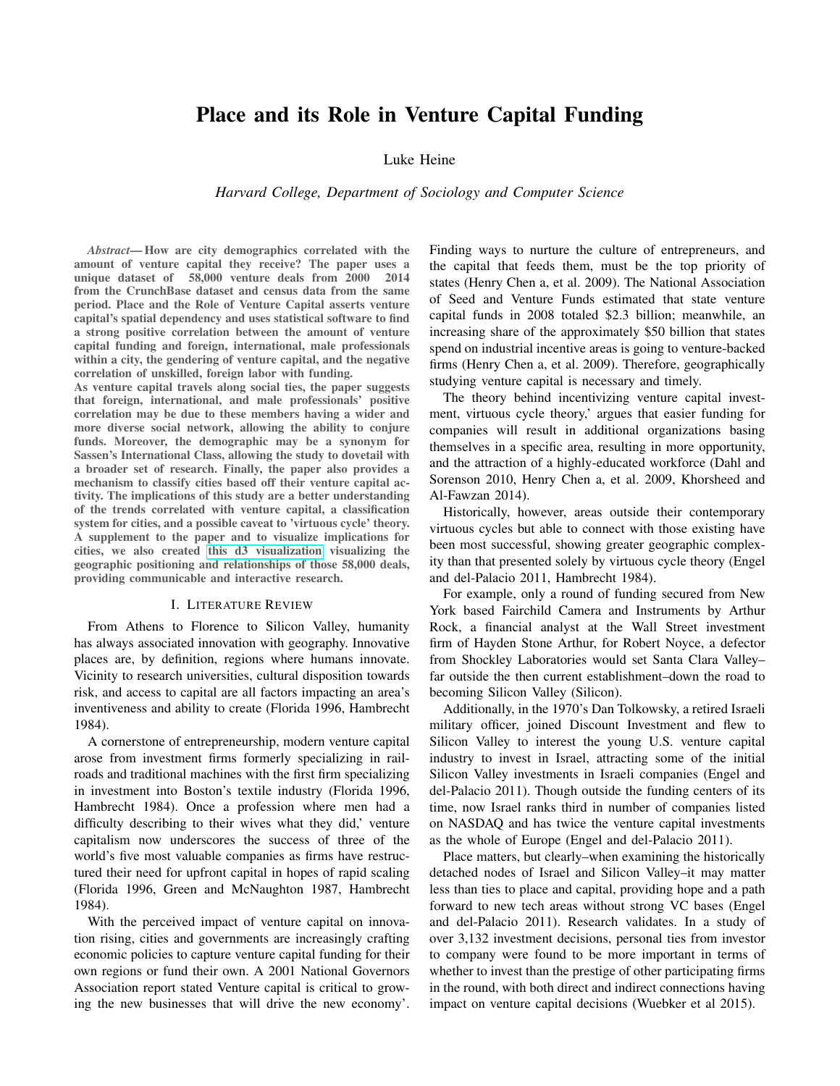# Place and its Role in Venture Capital Funding

Luke Heine

*Harvard College, Department of Sociology and Computer Science*

*Abstract*— How are city demographics correlated with the amount of venture capital they receive? The paper uses a unique dataset of 58,000 venture deals from 2000 2014 from the CrunchBase dataset and census data from the same period. Place and the Role of Venture Capital asserts venture capital's spatial dependency and uses statistical software to find a strong positive correlation between the amount of venture capital funding and foreign, international, male professionals within a city, the gendering of venture capital, and the negative correlation of unskilled, foreign labor with funding.

As venture capital travels along social ties, the paper suggests that foreign, international, and male professionals' positive correlation may be due to these members having a wider and more diverse social network, allowing the ability to conjure funds. Moreover, the demographic may be a synonym for Sassen's International Class, allowing the study to dovetail with a broader set of research. Finally, the paper also provides a mechanism to classify cities based off their venture capital activity. The implications of this study are a better understanding of the trends correlated with venture capital, a classification system for cities, and a possible caveat to 'virtuous cycle' theory. A supplement to the paper and to visualize implications for cities, we also created [this d3 visualization](https://www.wikibooks.org) visualizing the geographic positioning and relationships of those 58,000 deals, providing communicable and interactive research.

## I. LITERATURE REVIEW

From Athens to Florence to Silicon Valley, humanity has always associated innovation with geography. Innovative places are, by definition, regions where humans innovate. Vicinity to research universities, cultural disposition towards risk, and access to capital are all factors impacting an area's inventiveness and ability to create (Florida 1996, Hambrecht 1984).

A cornerstone of entrepreneurship, modern venture capital arose from investment firms formerly specializing in railroads and traditional machines with the first firm specializing in investment into Boston's textile industry (Florida 1996, Hambrecht 1984). Once a profession where men had a difficulty describing to their wives what they did,' venture capitalism now underscores the success of three of the world's five most valuable companies as firms have restructured their need for upfront capital in hopes of rapid scaling (Florida 1996, Green and McNaughton 1987, Hambrecht 1984).

With the perceived impact of venture capital on innovation rising, cities and governments are increasingly crafting economic policies to capture venture capital funding for their own regions or fund their own. A 2001 National Governors Association report stated Venture capital is critical to growing the new businesses that will drive the new economy'. Finding ways to nurture the culture of entrepreneurs, and the capital that feeds them, must be the top priority of states (Henry Chen a, et al. 2009). The National Association of Seed and Venture Funds estimated that state venture capital funds in 2008 totaled \$2.3 billion; meanwhile, an increasing share of the approximately \$50 billion that states spend on industrial incentive areas is going to venture-backed firms (Henry Chen a, et al. 2009). Therefore, geographically studying venture capital is necessary and timely.

The theory behind incentivizing venture capital investment, virtuous cycle theory,' argues that easier funding for companies will result in additional organizations basing themselves in a specific area, resulting in more opportunity, and the attraction of a highly-educated workforce (Dahl and Sorenson 2010, Henry Chen a, et al. 2009, Khorsheed and Al-Fawzan 2014).

Historically, however, areas outside their contemporary virtuous cycles but able to connect with those existing have been most successful, showing greater geographic complexity than that presented solely by virtuous cycle theory (Engel and del-Palacio 2011, Hambrecht 1984).

For example, only a round of funding secured from New York based Fairchild Camera and Instruments by Arthur Rock, a financial analyst at the Wall Street investment firm of Hayden Stone Arthur, for Robert Noyce, a defector from Shockley Laboratories would set Santa Clara Valley– far outside the then current establishment–down the road to becoming Silicon Valley (Silicon).

Additionally, in the 1970's Dan Tolkowsky, a retired Israeli military officer, joined Discount Investment and flew to Silicon Valley to interest the young U.S. venture capital industry to invest in Israel, attracting some of the initial Silicon Valley investments in Israeli companies (Engel and del-Palacio 2011). Though outside the funding centers of its time, now Israel ranks third in number of companies listed on NASDAQ and has twice the venture capital investments as the whole of Europe (Engel and del-Palacio 2011).

Place matters, but clearly–when examining the historically detached nodes of Israel and Silicon Valley–it may matter less than ties to place and capital, providing hope and a path forward to new tech areas without strong VC bases (Engel and del-Palacio 2011). Research validates. In a study of over 3,132 investment decisions, personal ties from investor to company were found to be more important in terms of whether to invest than the prestige of other participating firms in the round, with both direct and indirect connections having impact on venture capital decisions (Wuebker et al 2015).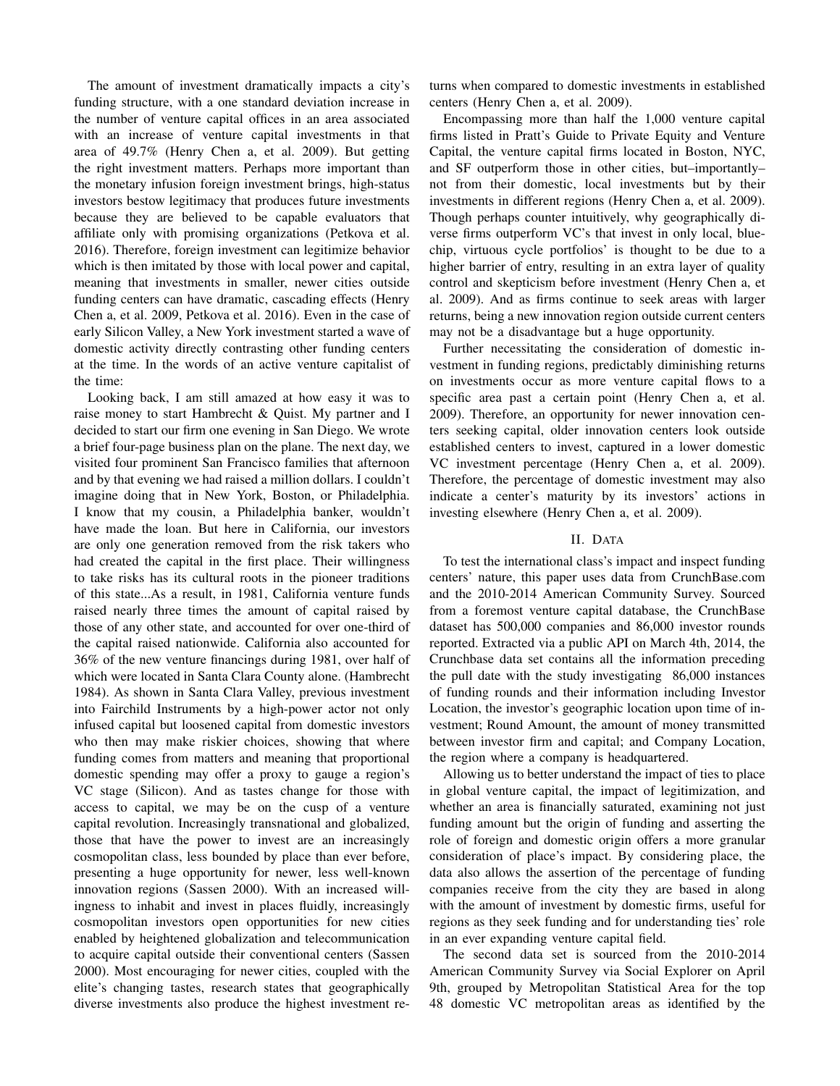The amount of investment dramatically impacts a city's funding structure, with a one standard deviation increase in the number of venture capital offices in an area associated with an increase of venture capital investments in that area of 49.7% (Henry Chen a, et al. 2009). But getting the right investment matters. Perhaps more important than the monetary infusion foreign investment brings, high-status investors bestow legitimacy that produces future investments because they are believed to be capable evaluators that affiliate only with promising organizations (Petkova et al. 2016). Therefore, foreign investment can legitimize behavior which is then imitated by those with local power and capital, meaning that investments in smaller, newer cities outside funding centers can have dramatic, cascading effects (Henry Chen a, et al. 2009, Petkova et al. 2016). Even in the case of early Silicon Valley, a New York investment started a wave of domestic activity directly contrasting other funding centers at the time. In the words of an active venture capitalist of the time:

Looking back, I am still amazed at how easy it was to raise money to start Hambrecht & Quist. My partner and I decided to start our firm one evening in San Diego. We wrote a brief four-page business plan on the plane. The next day, we visited four prominent San Francisco families that afternoon and by that evening we had raised a million dollars. I couldn't imagine doing that in New York, Boston, or Philadelphia. I know that my cousin, a Philadelphia banker, wouldn't have made the loan. But here in California, our investors are only one generation removed from the risk takers who had created the capital in the first place. Their willingness to take risks has its cultural roots in the pioneer traditions of this state...As a result, in 1981, California venture funds raised nearly three times the amount of capital raised by those of any other state, and accounted for over one-third of the capital raised nationwide. California also accounted for 36% of the new venture financings during 1981, over half of which were located in Santa Clara County alone. (Hambrecht 1984). As shown in Santa Clara Valley, previous investment into Fairchild Instruments by a high-power actor not only infused capital but loosened capital from domestic investors who then may make riskier choices, showing that where funding comes from matters and meaning that proportional domestic spending may offer a proxy to gauge a region's VC stage (Silicon). And as tastes change for those with access to capital, we may be on the cusp of a venture capital revolution. Increasingly transnational and globalized, those that have the power to invest are an increasingly cosmopolitan class, less bounded by place than ever before, presenting a huge opportunity for newer, less well-known innovation regions (Sassen 2000). With an increased willingness to inhabit and invest in places fluidly, increasingly cosmopolitan investors open opportunities for new cities enabled by heightened globalization and telecommunication to acquire capital outside their conventional centers (Sassen 2000). Most encouraging for newer cities, coupled with the elite's changing tastes, research states that geographically diverse investments also produce the highest investment returns when compared to domestic investments in established centers (Henry Chen a, et al. 2009).

Encompassing more than half the 1,000 venture capital firms listed in Pratt's Guide to Private Equity and Venture Capital, the venture capital firms located in Boston, NYC, and SF outperform those in other cities, but–importantly– not from their domestic, local investments but by their investments in different regions (Henry Chen a, et al. 2009). Though perhaps counter intuitively, why geographically diverse firms outperform VC's that invest in only local, bluechip, virtuous cycle portfolios' is thought to be due to a higher barrier of entry, resulting in an extra layer of quality control and skepticism before investment (Henry Chen a, et al. 2009). And as firms continue to seek areas with larger returns, being a new innovation region outside current centers may not be a disadvantage but a huge opportunity.

Further necessitating the consideration of domestic investment in funding regions, predictably diminishing returns on investments occur as more venture capital flows to a specific area past a certain point (Henry Chen a, et al. 2009). Therefore, an opportunity for newer innovation centers seeking capital, older innovation centers look outside established centers to invest, captured in a lower domestic VC investment percentage (Henry Chen a, et al. 2009). Therefore, the percentage of domestic investment may also indicate a center's maturity by its investors' actions in investing elsewhere (Henry Chen a, et al. 2009).

#### II. DATA

To test the international class's impact and inspect funding centers' nature, this paper uses data from CrunchBase.com and the 2010-2014 American Community Survey. Sourced from a foremost venture capital database, the CrunchBase dataset has 500,000 companies and 86,000 investor rounds reported. Extracted via a public API on March 4th, 2014, the Crunchbase data set contains all the information preceding the pull date with the study investigating 86,000 instances of funding rounds and their information including Investor Location, the investor's geographic location upon time of investment; Round Amount, the amount of money transmitted between investor firm and capital; and Company Location, the region where a company is headquartered.

Allowing us to better understand the impact of ties to place in global venture capital, the impact of legitimization, and whether an area is financially saturated, examining not just funding amount but the origin of funding and asserting the role of foreign and domestic origin offers a more granular consideration of place's impact. By considering place, the data also allows the assertion of the percentage of funding companies receive from the city they are based in along with the amount of investment by domestic firms, useful for regions as they seek funding and for understanding ties' role in an ever expanding venture capital field.

The second data set is sourced from the 2010-2014 American Community Survey via Social Explorer on April 9th, grouped by Metropolitan Statistical Area for the top 48 domestic VC metropolitan areas as identified by the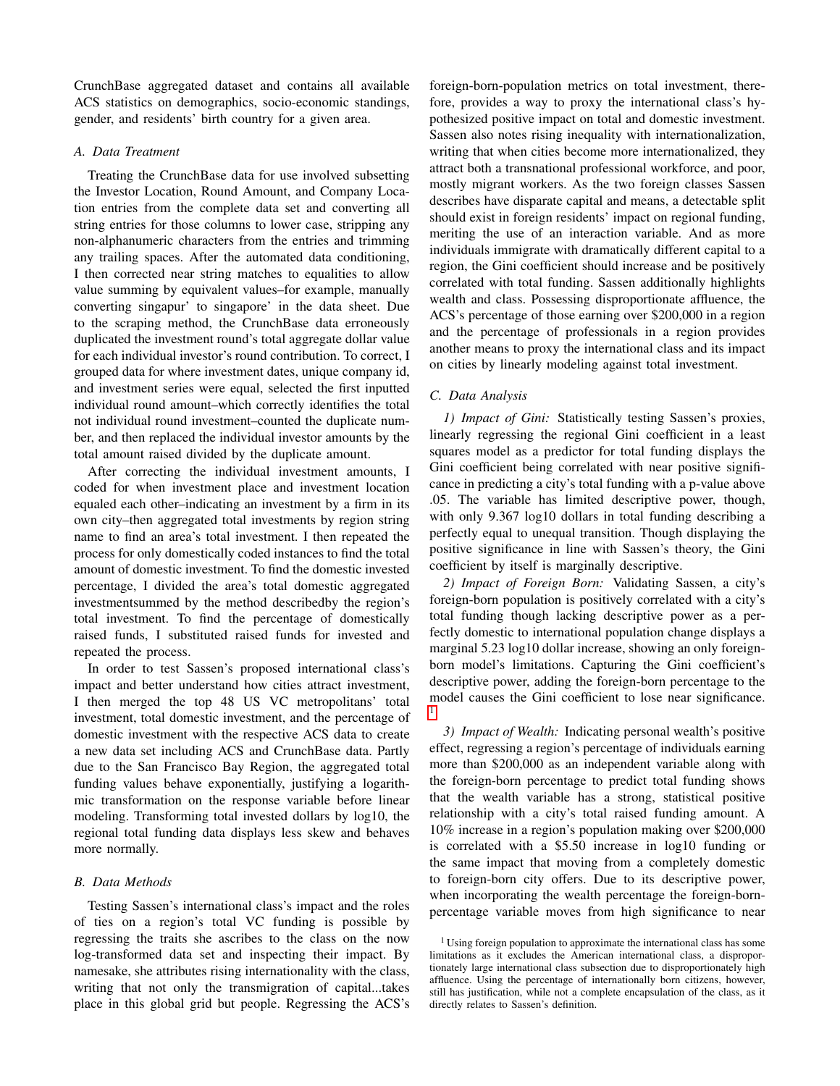CrunchBase aggregated dataset and contains all available ACS statistics on demographics, socio-economic standings, gender, and residents' birth country for a given area.

## *A. Data Treatment*

Treating the CrunchBase data for use involved subsetting the Investor Location, Round Amount, and Company Location entries from the complete data set and converting all string entries for those columns to lower case, stripping any non-alphanumeric characters from the entries and trimming any trailing spaces. After the automated data conditioning, I then corrected near string matches to equalities to allow value summing by equivalent values–for example, manually converting singapur' to singapore' in the data sheet. Due to the scraping method, the CrunchBase data erroneously duplicated the investment round's total aggregate dollar value for each individual investor's round contribution. To correct, I grouped data for where investment dates, unique company id, and investment series were equal, selected the first inputted individual round amount–which correctly identifies the total not individual round investment–counted the duplicate number, and then replaced the individual investor amounts by the total amount raised divided by the duplicate amount.

After correcting the individual investment amounts, I coded for when investment place and investment location equaled each other–indicating an investment by a firm in its own city–then aggregated total investments by region string name to find an area's total investment. I then repeated the process for only domestically coded instances to find the total amount of domestic investment. To find the domestic invested percentage, I divided the area's total domestic aggregated investmentsummed by the method describedby the region's total investment. To find the percentage of domestically raised funds, I substituted raised funds for invested and repeated the process.

In order to test Sassen's proposed international class's impact and better understand how cities attract investment, I then merged the top 48 US VC metropolitans' total investment, total domestic investment, and the percentage of domestic investment with the respective ACS data to create a new data set including ACS and CrunchBase data. Partly due to the San Francisco Bay Region, the aggregated total funding values behave exponentially, justifying a logarithmic transformation on the response variable before linear modeling. Transforming total invested dollars by log10, the regional total funding data displays less skew and behaves more normally.

## *B. Data Methods*

Testing Sassen's international class's impact and the roles of ties on a region's total VC funding is possible by regressing the traits she ascribes to the class on the now log-transformed data set and inspecting their impact. By namesake, she attributes rising internationality with the class, writing that not only the transmigration of capital...takes place in this global grid but people. Regressing the ACS's foreign-born-population metrics on total investment, therefore, provides a way to proxy the international class's hypothesized positive impact on total and domestic investment. Sassen also notes rising inequality with internationalization, writing that when cities become more internationalized, they attract both a transnational professional workforce, and poor, mostly migrant workers. As the two foreign classes Sassen describes have disparate capital and means, a detectable split should exist in foreign residents' impact on regional funding, meriting the use of an interaction variable. And as more individuals immigrate with dramatically different capital to a region, the Gini coefficient should increase and be positively correlated with total funding. Sassen additionally highlights wealth and class. Possessing disproportionate affluence, the ACS's percentage of those earning over \$200,000 in a region and the percentage of professionals in a region provides another means to proxy the international class and its impact on cities by linearly modeling against total investment.

## *C. Data Analysis*

*1) Impact of Gini:* Statistically testing Sassen's proxies, linearly regressing the regional Gini coefficient in a least squares model as a predictor for total funding displays the Gini coefficient being correlated with near positive significance in predicting a city's total funding with a p-value above .05. The variable has limited descriptive power, though, with only 9.367 log10 dollars in total funding describing a perfectly equal to unequal transition. Though displaying the positive significance in line with Sassen's theory, the Gini coefficient by itself is marginally descriptive.

*2) Impact of Foreign Born:* Validating Sassen, a city's foreign-born population is positively correlated with a city's total funding though lacking descriptive power as a perfectly domestic to international population change displays a marginal 5.23 log10 dollar increase, showing an only foreignborn model's limitations. Capturing the Gini coefficient's descriptive power, adding the foreign-born percentage to the model causes the Gini coefficient to lose near significance. [1](#page-2-0)

*3) Impact of Wealth:* Indicating personal wealth's positive effect, regressing a region's percentage of individuals earning more than \$200,000 as an independent variable along with the foreign-born percentage to predict total funding shows that the wealth variable has a strong, statistical positive relationship with a city's total raised funding amount. A 10% increase in a region's population making over \$200,000 is correlated with a \$5.50 increase in log10 funding or the same impact that moving from a completely domestic to foreign-born city offers. Due to its descriptive power, when incorporating the wealth percentage the foreign-bornpercentage variable moves from high significance to near

<span id="page-2-0"></span><sup>&</sup>lt;sup>1</sup> Using foreign population to approximate the international class has some limitations as it excludes the American international class, a disproportionately large international class subsection due to disproportionately high affluence. Using the percentage of internationally born citizens, however, still has justification, while not a complete encapsulation of the class, as it directly relates to Sassen's definition.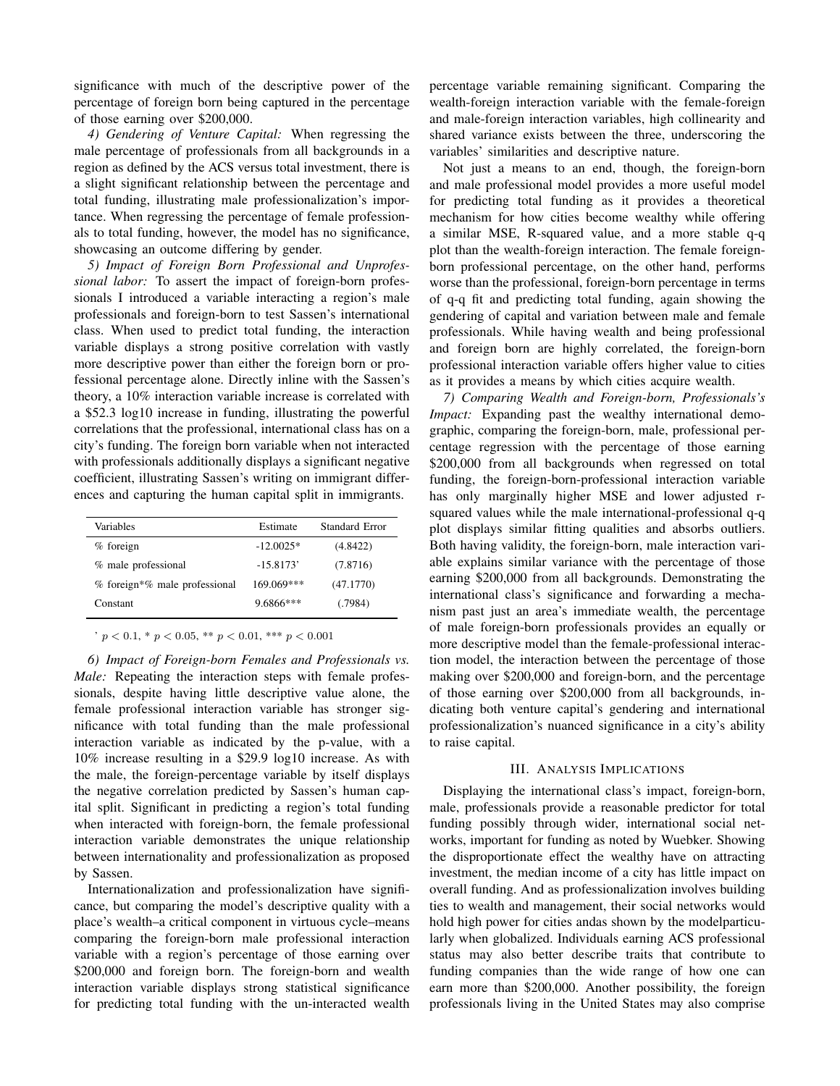significance with much of the descriptive power of the percentage of foreign born being captured in the percentage of those earning over \$200,000.

*4) Gendering of Venture Capital:* When regressing the male percentage of professionals from all backgrounds in a region as defined by the ACS versus total investment, there is a slight significant relationship between the percentage and total funding, illustrating male professionalization's importance. When regressing the percentage of female professionals to total funding, however, the model has no significance, showcasing an outcome differing by gender.

*5) Impact of Foreign Born Professional and Unprofessional labor:* To assert the impact of foreign-born professionals I introduced a variable interacting a region's male professionals and foreign-born to test Sassen's international class. When used to predict total funding, the interaction variable displays a strong positive correlation with vastly more descriptive power than either the foreign born or professional percentage alone. Directly inline with the Sassen's theory, a 10% interaction variable increase is correlated with a \$52.3 log10 increase in funding, illustrating the powerful correlations that the professional, international class has on a city's funding. The foreign born variable when not interacted with professionals additionally displays a significant negative coefficient, illustrating Sassen's writing on immigrant differences and capturing the human capital split in immigrants.

| Variables                     | Estimate    | Standard Error |
|-------------------------------|-------------|----------------|
| $%$ foreign                   | $-12.0025*$ | (4.8422)       |
| % male professional           | $-15.8173'$ | (7.8716)       |
| % foreign*% male professional | 169.069***  | (47.1770)      |
| Constant                      | $9.6866***$ | (.7984)        |
|                               |             |                |

 $\frac{1}{p}$  y < 0.1, \* p < 0.05, \*\* p < 0.01, \*\*\* p < 0.001

*6) Impact of Foreign-born Females and Professionals vs. Male:* Repeating the interaction steps with female professionals, despite having little descriptive value alone, the female professional interaction variable has stronger significance with total funding than the male professional interaction variable as indicated by the p-value, with a 10% increase resulting in a \$29.9 log10 increase. As with the male, the foreign-percentage variable by itself displays the negative correlation predicted by Sassen's human capital split. Significant in predicting a region's total funding when interacted with foreign-born, the female professional interaction variable demonstrates the unique relationship between internationality and professionalization as proposed by Sassen.

Internationalization and professionalization have significance, but comparing the model's descriptive quality with a place's wealth–a critical component in virtuous cycle–means comparing the foreign-born male professional interaction variable with a region's percentage of those earning over \$200,000 and foreign born. The foreign-born and wealth interaction variable displays strong statistical significance for predicting total funding with the un-interacted wealth percentage variable remaining significant. Comparing the wealth-foreign interaction variable with the female-foreign and male-foreign interaction variables, high collinearity and shared variance exists between the three, underscoring the variables' similarities and descriptive nature.

Not just a means to an end, though, the foreign-born and male professional model provides a more useful model for predicting total funding as it provides a theoretical mechanism for how cities become wealthy while offering a similar MSE, R-squared value, and a more stable q-q plot than the wealth-foreign interaction. The female foreignborn professional percentage, on the other hand, performs worse than the professional, foreign-born percentage in terms of q-q fit and predicting total funding, again showing the gendering of capital and variation between male and female professionals. While having wealth and being professional and foreign born are highly correlated, the foreign-born professional interaction variable offers higher value to cities as it provides a means by which cities acquire wealth.

*7) Comparing Wealth and Foreign-born, Professionals's Impact:* Expanding past the wealthy international demographic, comparing the foreign-born, male, professional percentage regression with the percentage of those earning \$200,000 from all backgrounds when regressed on total funding, the foreign-born-professional interaction variable has only marginally higher MSE and lower adjusted rsquared values while the male international-professional q-q plot displays similar fitting qualities and absorbs outliers. Both having validity, the foreign-born, male interaction variable explains similar variance with the percentage of those earning \$200,000 from all backgrounds. Demonstrating the international class's significance and forwarding a mechanism past just an area's immediate wealth, the percentage of male foreign-born professionals provides an equally or more descriptive model than the female-professional interaction model, the interaction between the percentage of those making over \$200,000 and foreign-born, and the percentage of those earning over \$200,000 from all backgrounds, indicating both venture capital's gendering and international professionalization's nuanced significance in a city's ability to raise capital.

#### III. ANALYSIS IMPLICATIONS

Displaying the international class's impact, foreign-born, male, professionals provide a reasonable predictor for total funding possibly through wider, international social networks, important for funding as noted by Wuebker. Showing the disproportionate effect the wealthy have on attracting investment, the median income of a city has little impact on overall funding. And as professionalization involves building ties to wealth and management, their social networks would hold high power for cities andas shown by the modelparticularly when globalized. Individuals earning ACS professional status may also better describe traits that contribute to funding companies than the wide range of how one can earn more than \$200,000. Another possibility, the foreign professionals living in the United States may also comprise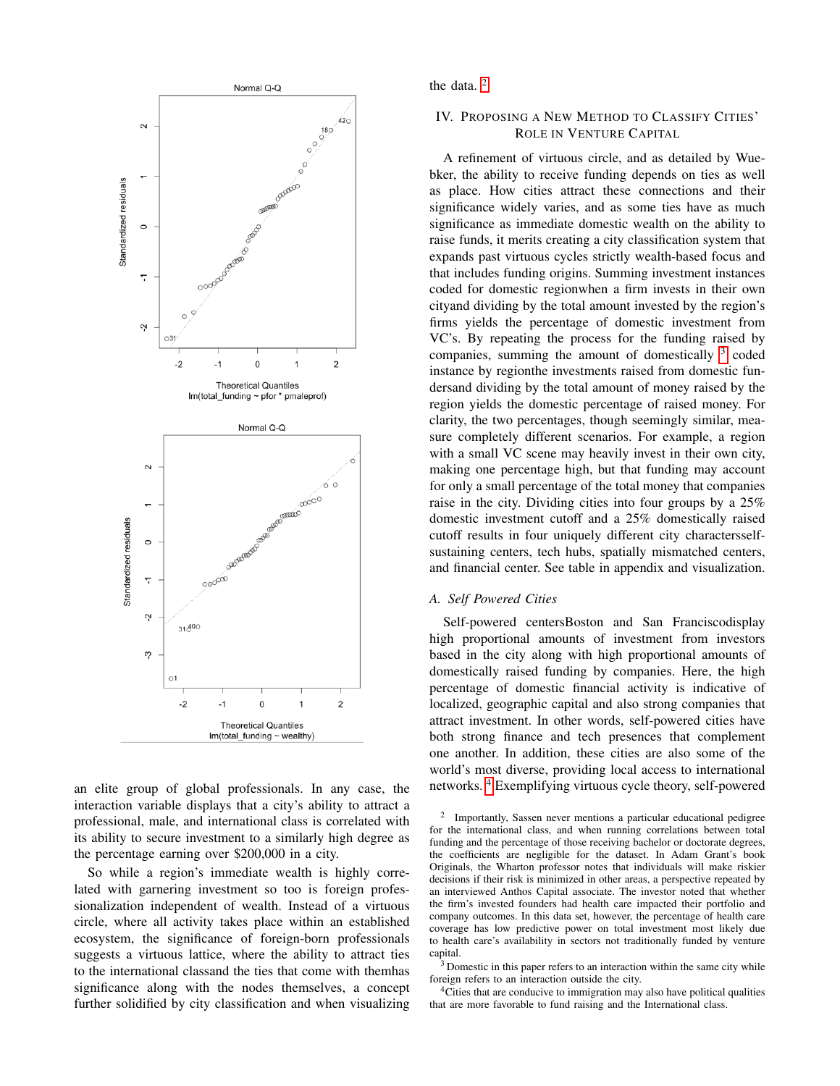

an elite group of global professionals. In any case, the interaction variable displays that a city's ability to attract a professional, male, and international class is correlated with its ability to secure investment to a similarly high degree as the percentage earning over \$200,000 in a city.

So while a region's immediate wealth is highly correlated with garnering investment so too is foreign professionalization independent of wealth. Instead of a virtuous circle, where all activity takes place within an established ecosystem, the significance of foreign-born professionals suggests a virtuous lattice, where the ability to attract ties to the international classand the ties that come with themhas significance along with the nodes themselves, a concept further solidified by city classification and when visualizing the data.<sup>[2](#page-4-0)</sup>

## IV. PROPOSING A NEW METHOD TO CLASSIFY CITIES' ROLE IN VENTURE CAPITAL

A refinement of virtuous circle, and as detailed by Wuebker, the ability to receive funding depends on ties as well as place. How cities attract these connections and their significance widely varies, and as some ties have as much significance as immediate domestic wealth on the ability to raise funds, it merits creating a city classification system that expands past virtuous cycles strictly wealth-based focus and that includes funding origins. Summing investment instances coded for domestic regionwhen a firm invests in their own cityand dividing by the total amount invested by the region's firms yields the percentage of domestic investment from VC's. By repeating the process for the funding raised by companies, summing the amount of domestically  $3$  coded instance by regionthe investments raised from domestic fundersand dividing by the total amount of money raised by the region yields the domestic percentage of raised money. For clarity, the two percentages, though seemingly similar, measure completely different scenarios. For example, a region with a small VC scene may heavily invest in their own city, making one percentage high, but that funding may account for only a small percentage of the total money that companies raise in the city. Dividing cities into four groups by a 25% domestic investment cutoff and a 25% domestically raised cutoff results in four uniquely different city charactersselfsustaining centers, tech hubs, spatially mismatched centers, and financial center. See table in appendix and visualization.

#### *A. Self Powered Cities*

Self-powered centersBoston and San Franciscodisplay high proportional amounts of investment from investors based in the city along with high proportional amounts of domestically raised funding by companies. Here, the high percentage of domestic financial activity is indicative of localized, geographic capital and also strong companies that attract investment. In other words, self-powered cities have both strong finance and tech presences that complement one another. In addition, these cities are also some of the world's most diverse, providing local access to international networks. [4](#page-4-2) Exemplifying virtuous cycle theory, self-powered

<span id="page-4-2"></span><sup>4</sup>Cities that are conducive to immigration may also have political qualities that are more favorable to fund raising and the International class.

<span id="page-4-0"></span><sup>2</sup> Importantly, Sassen never mentions a particular educational pedigree for the international class, and when running correlations between total funding and the percentage of those receiving bachelor or doctorate degrees, the coefficients are negligible for the dataset. In Adam Grant's book Originals, the Wharton professor notes that individuals will make riskier decisions if their risk is minimized in other areas, a perspective repeated by an interviewed Anthos Capital associate. The investor noted that whether the firm's invested founders had health care impacted their portfolio and company outcomes. In this data set, however, the percentage of health care coverage has low predictive power on total investment most likely due to health care's availability in sectors not traditionally funded by venture capital.

<span id="page-4-1"></span> $3$  Domestic in this paper refers to an interaction within the same city while foreign refers to an interaction outside the city.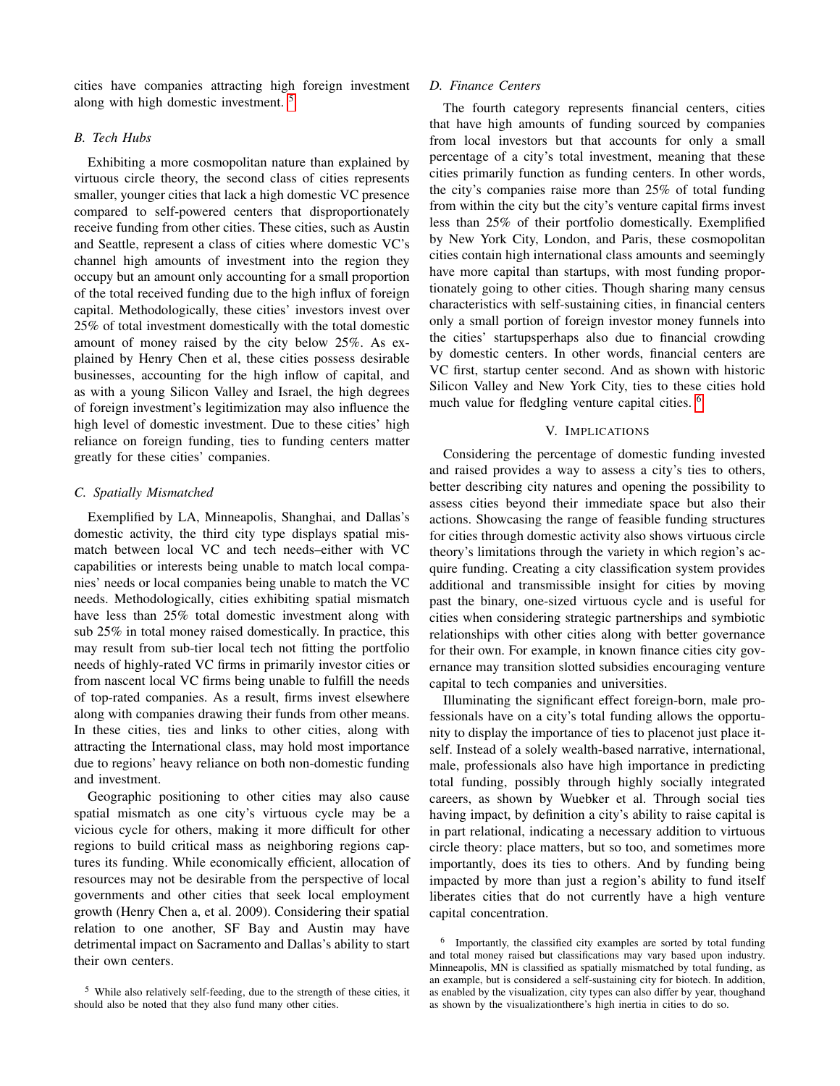cities have companies attracting high foreign investment along with high domestic investment. [5](#page-5-0)

## *B. Tech Hubs*

Exhibiting a more cosmopolitan nature than explained by virtuous circle theory, the second class of cities represents smaller, younger cities that lack a high domestic VC presence compared to self-powered centers that disproportionately receive funding from other cities. These cities, such as Austin and Seattle, represent a class of cities where domestic VC's channel high amounts of investment into the region they occupy but an amount only accounting for a small proportion of the total received funding due to the high influx of foreign capital. Methodologically, these cities' investors invest over 25% of total investment domestically with the total domestic amount of money raised by the city below 25%. As explained by Henry Chen et al, these cities possess desirable businesses, accounting for the high inflow of capital, and as with a young Silicon Valley and Israel, the high degrees of foreign investment's legitimization may also influence the high level of domestic investment. Due to these cities' high reliance on foreign funding, ties to funding centers matter greatly for these cities' companies.

## *C. Spatially Mismatched*

Exemplified by LA, Minneapolis, Shanghai, and Dallas's domestic activity, the third city type displays spatial mismatch between local VC and tech needs–either with VC capabilities or interests being unable to match local companies' needs or local companies being unable to match the VC needs. Methodologically, cities exhibiting spatial mismatch have less than 25% total domestic investment along with sub 25% in total money raised domestically. In practice, this may result from sub-tier local tech not fitting the portfolio needs of highly-rated VC firms in primarily investor cities or from nascent local VC firms being unable to fulfill the needs of top-rated companies. As a result, firms invest elsewhere along with companies drawing their funds from other means. In these cities, ties and links to other cities, along with attracting the International class, may hold most importance due to regions' heavy reliance on both non-domestic funding and investment.

Geographic positioning to other cities may also cause spatial mismatch as one city's virtuous cycle may be a vicious cycle for others, making it more difficult for other regions to build critical mass as neighboring regions captures its funding. While economically efficient, allocation of resources may not be desirable from the perspective of local governments and other cities that seek local employment growth (Henry Chen a, et al. 2009). Considering their spatial relation to one another, SF Bay and Austin may have detrimental impact on Sacramento and Dallas's ability to start their own centers.

## *D. Finance Centers*

The fourth category represents financial centers, cities that have high amounts of funding sourced by companies from local investors but that accounts for only a small percentage of a city's total investment, meaning that these cities primarily function as funding centers. In other words, the city's companies raise more than 25% of total funding from within the city but the city's venture capital firms invest less than 25% of their portfolio domestically. Exemplified by New York City, London, and Paris, these cosmopolitan cities contain high international class amounts and seemingly have more capital than startups, with most funding proportionately going to other cities. Though sharing many census characteristics with self-sustaining cities, in financial centers only a small portion of foreign investor money funnels into the cities' startupsperhaps also due to financial crowding by domestic centers. In other words, financial centers are VC first, startup center second. And as shown with historic Silicon Valley and New York City, ties to these cities hold much value for fledgling venture capital cities. <sup>[6](#page-5-1)</sup>

## V. IMPLICATIONS

Considering the percentage of domestic funding invested and raised provides a way to assess a city's ties to others, better describing city natures and opening the possibility to assess cities beyond their immediate space but also their actions. Showcasing the range of feasible funding structures for cities through domestic activity also shows virtuous circle theory's limitations through the variety in which region's acquire funding. Creating a city classification system provides additional and transmissible insight for cities by moving past the binary, one-sized virtuous cycle and is useful for cities when considering strategic partnerships and symbiotic relationships with other cities along with better governance for their own. For example, in known finance cities city governance may transition slotted subsidies encouraging venture capital to tech companies and universities.

Illuminating the significant effect foreign-born, male professionals have on a city's total funding allows the opportunity to display the importance of ties to placenot just place itself. Instead of a solely wealth-based narrative, international, male, professionals also have high importance in predicting total funding, possibly through highly socially integrated careers, as shown by Wuebker et al. Through social ties having impact, by definition a city's ability to raise capital is in part relational, indicating a necessary addition to virtuous circle theory: place matters, but so too, and sometimes more importantly, does its ties to others. And by funding being impacted by more than just a region's ability to fund itself liberates cities that do not currently have a high venture capital concentration.

<span id="page-5-0"></span><sup>5</sup> While also relatively self-feeding, due to the strength of these cities, it should also be noted that they also fund many other cities.

<span id="page-5-1"></span><sup>6</sup> Importantly, the classified city examples are sorted by total funding and total money raised but classifications may vary based upon industry. Minneapolis, MN is classified as spatially mismatched by total funding, as an example, but is considered a self-sustaining city for biotech. In addition, as enabled by the visualization, city types can also differ by year, thoughand as shown by the visualizationthere's high inertia in cities to do so.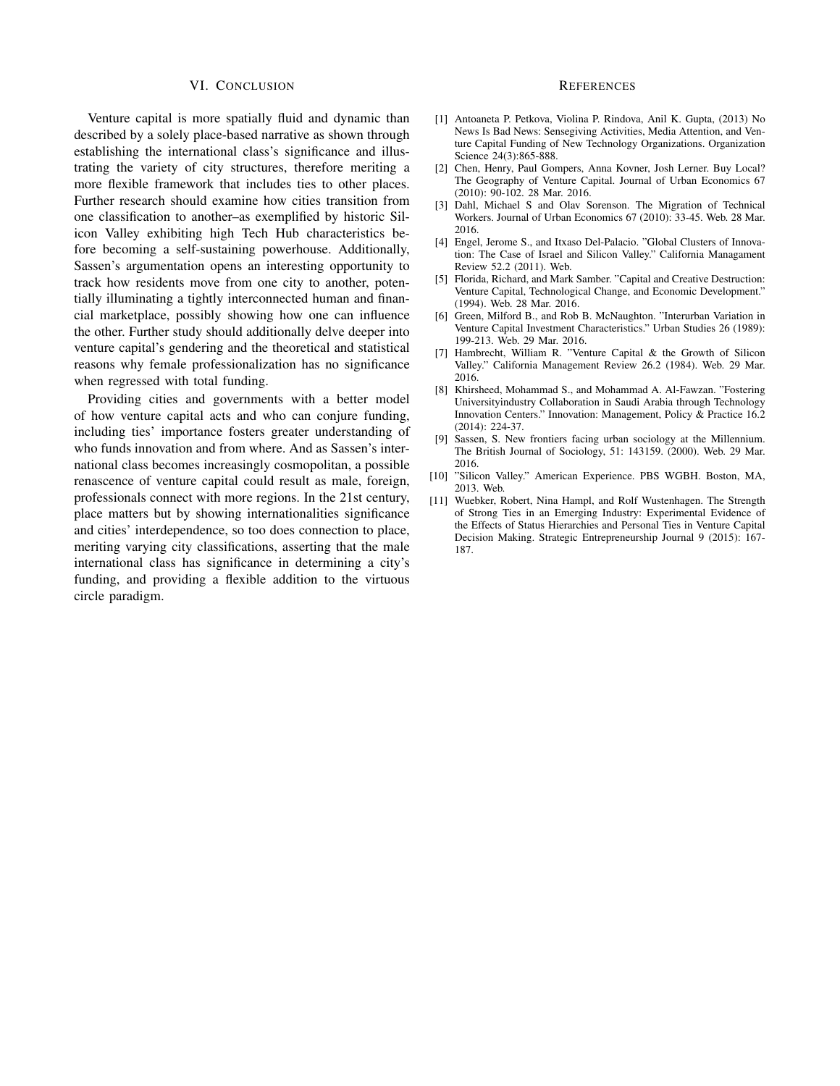#### VI. CONCLUSION

Venture capital is more spatially fluid and dynamic than described by a solely place-based narrative as shown through establishing the international class's significance and illustrating the variety of city structures, therefore meriting a more flexible framework that includes ties to other places. Further research should examine how cities transition from one classification to another–as exemplified by historic Silicon Valley exhibiting high Tech Hub characteristics before becoming a self-sustaining powerhouse. Additionally, Sassen's argumentation opens an interesting opportunity to track how residents move from one city to another, potentially illuminating a tightly interconnected human and financial marketplace, possibly showing how one can influence the other. Further study should additionally delve deeper into venture capital's gendering and the theoretical and statistical reasons why female professionalization has no significance when regressed with total funding.

Providing cities and governments with a better model of how venture capital acts and who can conjure funding, including ties' importance fosters greater understanding of who funds innovation and from where. And as Sassen's international class becomes increasingly cosmopolitan, a possible renascence of venture capital could result as male, foreign, professionals connect with more regions. In the 21st century, place matters but by showing internationalities significance and cities' interdependence, so too does connection to place, meriting varying city classifications, asserting that the male international class has significance in determining a city's funding, and providing a flexible addition to the virtuous circle paradigm.

#### **REFERENCES**

- [1] Antoaneta P. Petkova, Violina P. Rindova, Anil K. Gupta, (2013) No News Is Bad News: Sensegiving Activities, Media Attention, and Venture Capital Funding of New Technology Organizations. Organization Science 24(3):865-888.
- [2] Chen, Henry, Paul Gompers, Anna Kovner, Josh Lerner. Buy Local? The Geography of Venture Capital. Journal of Urban Economics 67 (2010): 90-102. 28 Mar. 2016.
- [3] Dahl, Michael S and Olav Sorenson. The Migration of Technical Workers. Journal of Urban Economics 67 (2010): 33-45. Web. 28 Mar. 2016.
- [4] Engel, Jerome S., and Itxaso Del-Palacio. "Global Clusters of Innovation: The Case of Israel and Silicon Valley." California Managament Review 52.2 (2011). Web.
- [5] Florida, Richard, and Mark Samber. "Capital and Creative Destruction: Venture Capital, Technological Change, and Economic Development." (1994). Web. 28 Mar. 2016.
- [6] Green, Milford B., and Rob B. McNaughton. "Interurban Variation in Venture Capital Investment Characteristics." Urban Studies 26 (1989): 199-213. Web. 29 Mar. 2016.
- [7] Hambrecht, William R. "Venture Capital & the Growth of Silicon Valley." California Management Review 26.2 (1984). Web. 29 Mar. 2016.
- [8] Khirsheed, Mohammad S., and Mohammad A. Al-Fawzan. "Fostering Universityindustry Collaboration in Saudi Arabia through Technology Innovation Centers." Innovation: Management, Policy & Practice 16.2 (2014): 224-37.
- [9] Sassen, S. New frontiers facing urban sociology at the Millennium. The British Journal of Sociology, 51: 143159. (2000). Web. 29 Mar. 2016.
- [10] "Silicon Valley." American Experience. PBS WGBH. Boston, MA, 2013. Web.
- [11] Wuebker, Robert, Nina Hampl, and Rolf Wustenhagen. The Strength of Strong Ties in an Emerging Industry: Experimental Evidence of the Effects of Status Hierarchies and Personal Ties in Venture Capital Decision Making. Strategic Entrepreneurship Journal 9 (2015): 167- 187.